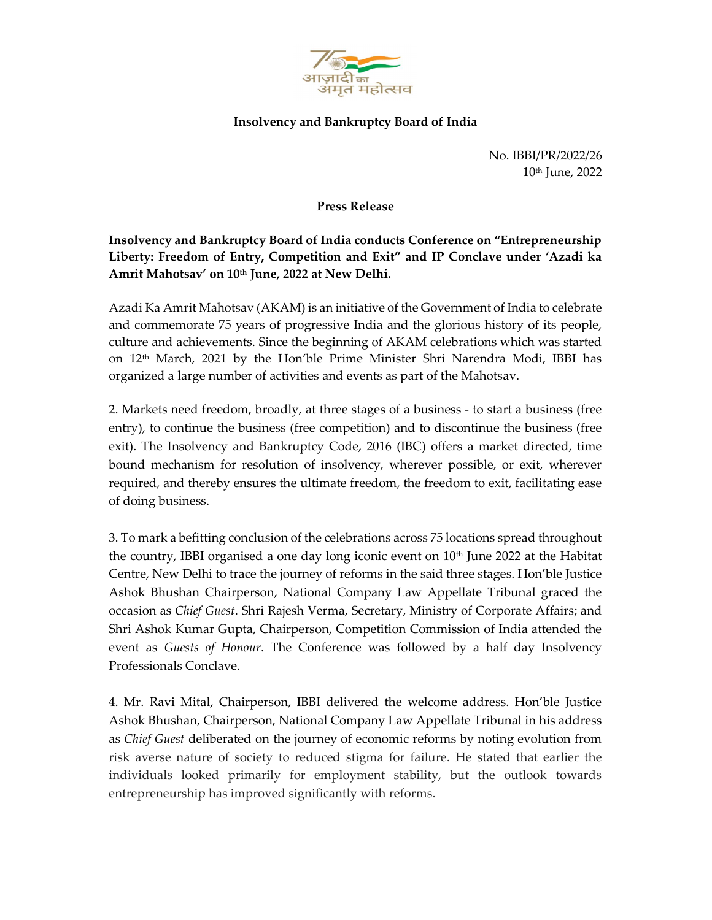

## Insolvency and Bankruptcy Board of India

No. IBBI/PR/2022/26 10th June, 2022

## Press Release

Insolvency and Bankruptcy Board of India conducts Conference on "Entrepreneurship Liberty: Freedom of Entry, Competition and Exit" and IP Conclave under 'Azadi ka Amrit Mahotsav' on 10th June, 2022 at New Delhi.

Azadi Ka Amrit Mahotsav (AKAM) is an initiative of the Government of India to celebrate and commemorate 75 years of progressive India and the glorious history of its people, culture and achievements. Since the beginning of AKAM celebrations which was started on 12th March, 2021 by the Hon'ble Prime Minister Shri Narendra Modi, IBBI has organized a large number of activities and events as part of the Mahotsav.

2. Markets need freedom, broadly, at three stages of a business - to start a business (free entry), to continue the business (free competition) and to discontinue the business (free exit). The Insolvency and Bankruptcy Code, 2016 (IBC) offers a market directed, time bound mechanism for resolution of insolvency, wherever possible, or exit, wherever required, and thereby ensures the ultimate freedom, the freedom to exit, facilitating ease of doing business.

3. To mark a befitting conclusion of the celebrations across 75 locations spread throughout the country, IBBI organised a one day long iconic event on  $10<sup>th</sup>$  June 2022 at the Habitat Centre, New Delhi to trace the journey of reforms in the said three stages. Hon'ble Justice Ashok Bhushan Chairperson, National Company Law Appellate Tribunal graced the occasion as Chief Guest. Shri Rajesh Verma, Secretary, Ministry of Corporate Affairs; and Shri Ashok Kumar Gupta, Chairperson, Competition Commission of India attended the event as Guests of Honour. The Conference was followed by a half day Insolvency Professionals Conclave.

4. Mr. Ravi Mital, Chairperson, IBBI delivered the welcome address. Hon'ble Justice Ashok Bhushan, Chairperson, National Company Law Appellate Tribunal in his address as *Chief Guest* deliberated on the journey of economic reforms by noting evolution from risk averse nature of society to reduced stigma for failure. He stated that earlier the individuals looked primarily for employment stability, but the outlook towards entrepreneurship has improved significantly with reforms.